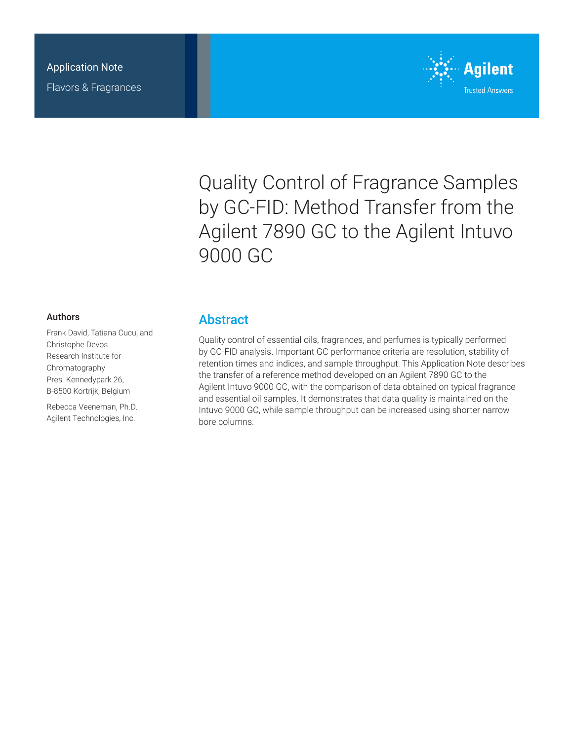

Quality Control of Fragrance Samples by GC-FID: Method Transfer from the Agilent 7890 GC to the Agilent Intuvo 9000 GC

#### Authors

Frank David, Tatiana Cucu, and Christophe Devos Research Institute for Chromatography Pres. Kennedypark 26, B-8500 Kortrijk, Belgium

Rebecca Veeneman, Ph.D. Agilent Technologies, Inc.

### **Abstract**

Quality control of essential oils, fragrances, and perfumes is typically performed by GC-FID analysis. Important GC performance criteria are resolution, stability of retention times and indices, and sample throughput. This Application Note describes the transfer of a reference method developed on an Agilent 7890 GC to the Agilent Intuvo 9000 GC, with the comparison of data obtained on typical fragrance and essential oil samples. It demonstrates that data quality is maintained on the Intuvo 9000 GC, while sample throughput can be increased using shorter narrow bore columns.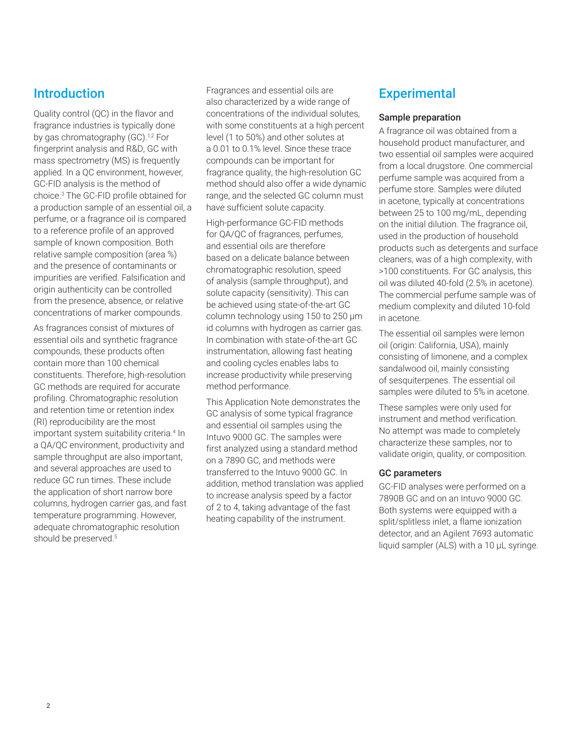## Introduction

Quality control (QC) in the flavor and fragrance industries is typically done by gas chromatography (GC).<sup>1,2</sup> For fingerprint analysis and R&D, GC with mass spectrometry (MS) is frequently applied. In a QC environment, however, GC-FID analysis is the method of choice.3 The GC-FID profile obtained for a production sample of an essential oil, a perfume, or a fragrance oil is compared to a reference profile of an approved sample of known composition. Both relative sample composition (area %) and the presence of contaminants or impurities are verified. Falsification and origin authenticity can be controlled from the presence, absence, or relative concentrations of marker compounds.

As fragrances consist of mixtures of essential oils and synthetic fragrance compounds, these products often contain more than 100 chemical constituents. Therefore, high-resolution GC methods are required for accurate profiling. Chromatographic resolution and retention time or retention index (RI) reproducibility are the most important system suitability criteria.4 In a QA/QC environment, productivity and sample throughput are also important, and several approaches are used to reduce GC run times. These include the application of short narrow bore columns, hydrogen carrier gas, and fast temperature programming. However, adequate chromatographic resolution should be preserved.<sup>5</sup>

Fragrances and essential oils are also characterized by a wide range of concentrations of the individual solutes, with some constituents at a high percent level (1 to 50%) and other solutes at a 0.01 to 0.1% level. Since these trace compounds can be important for fragrance quality, the high-resolution GC method should also offer a wide dynamic range, and the selected GC column must have sufficient solute capacity.

High-performance GC-FID methods for QA/QC of fragrances, perfumes, and essential oils are therefore based on a delicate balance between chromatographic resolution, speed of analysis (sample throughput), and solute capacity (sensitivity). This can be achieved using state-of-the-art GC column technology using 150 to 250 µm id columns with hydrogen as carrier gas. In combination with state-of-the-art GC instrumentation, allowing fast heating and cooling cycles enables labs to increase productivity while preserving method performance.

This Application Note demonstrates the GC analysis of some typical fragrance and essential oil samples using the Intuvo 9000 GC. The samples were first analyzed using a standard method on a 7890 GC, and methods were transferred to the Intuvo 9000 GC. In addition, method translation was applied to increase analysis speed by a factor of 2 to 4, taking advantage of the fast heating capability of the instrument.

# **Experimental**

#### Sample preparation

A fragrance oil was obtained from a household product manufacturer, and two essential oil samples were acquired from a local drugstore. One commercial perfume sample was acquired from a perfume store. Samples were diluted in acetone, typically at concentrations between 25 to 100 mg/mL, depending on the initial dilution. The fragrance oil, used in the production of household products such as detergents and surface cleaners, was of a high complexity, with >100 constituents. For GC analysis, this oil was diluted 40-fold (2.5% in acetone). The commercial perfume sample was of medium complexity and diluted 10-fold in acetone.

The essential oil samples were lemon oil (origin: California, USA), mainly consisting of limonene, and a complex sandalwood oil, mainly consisting of sesquiterpenes. The essential oil samples were diluted to 5% in acetone.

These samples were only used for instrument and method verification. No attempt was made to completely characterize these samples, nor to validate origin, quality, or composition.

#### GC parameters

GC-FID analyses were performed on a 7890B GC and on an Intuvo 9000 GC. Both systems were equipped with a split/splitless inlet, a flame ionization detector, and an Agilent 7693 automatic liquid sampler (ALS) with a 10 µL syringe.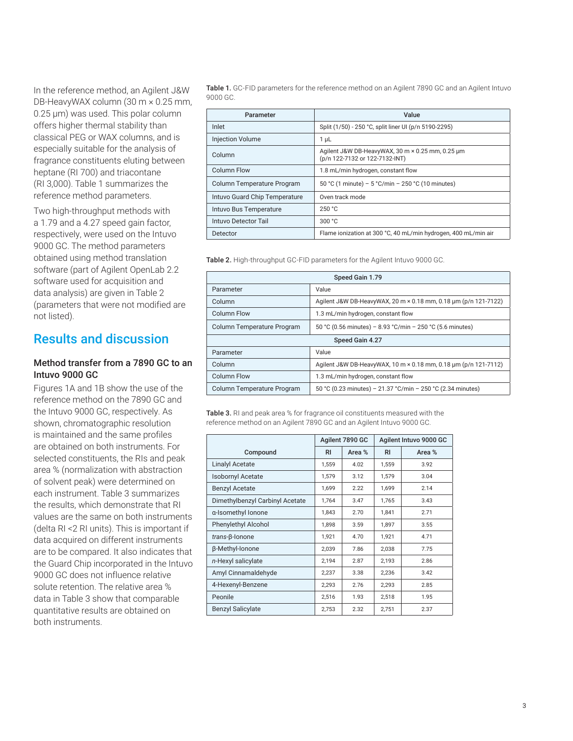In the reference method, an Agilent J&W DB-HeavyWAX column (30 m × 0.25 mm, 0.25 µm) was used. This polar column offers higher thermal stability than classical PEG or WAX columns, and is especially suitable for the analysis of fragrance constituents eluting between heptane (RI 700) and triacontane (RI 3,000). Table 1 summarizes the reference method parameters.

Two high-throughput methods with a 1.79 and a 4.27 speed gain factor, respectively, were used on the Intuvo 9000 GC. The method parameters obtained using method translation software (part of Agilent OpenLab 2.2 software used for acquisition and data analysis) are given in Table 2 (parameters that were not modified are not listed).

### Results and discussion

#### Method transfer from a 7890 GC to an Intuvo 9000 GC

Figures 1A and 1B show the use of the reference method on the 7890 GC and the Intuvo 9000 GC, respectively. As shown, chromatographic resolution is maintained and the same profiles are obtained on both instruments. For selected constituents, the RIs and peak area % (normalization with abstraction of solvent peak) were determined on each instrument. Table 3 summarizes the results, which demonstrate that RI values are the same on both instruments (delta RI <2 RI units). This is important if data acquired on different instruments are to be compared. It also indicates that the Guard Chip incorporated in the Intuvo 9000 GC does not influence relative solute retention. The relative area % data in Table 3 show that comparable quantitative results are obtained on both instruments.

Table 1. GC-FID parameters for the reference method on an Agilent 7890 GC and an Agilent Intuvo 9000 GC.

| Parameter                     | Value                                                                              |
|-------------------------------|------------------------------------------------------------------------------------|
| Inlet                         | Split (1/50) - 250 °C, split liner UI (p/n 5190-2295)                              |
| <b>Injection Volume</b>       | $1 \mu L$                                                                          |
| Column                        | Agilent J&W DB-HeavyWAX, 30 m × 0.25 mm, 0.25 um<br>(p/n 122-7132 or 122-7132-INT) |
| <b>Column Flow</b>            | 1.8 mL/min hydrogen, constant flow                                                 |
| Column Temperature Program    | 50 °C (1 minute) – 5 °C/min – 250 °C (10 minutes)                                  |
| Intuvo Guard Chip Temperature | Oven track mode                                                                    |
| Intuvo Bus Temperature        | 250 °C                                                                             |
| Intuvo Detector Tail          | 300 °C                                                                             |
| Detector                      | Flame ionization at 300 °C, 40 mL/min hydrogen, 400 mL/min air                     |

Table 2. High-throughput GC-FID parameters for the Agilent Intuvo 9000 GC.

| Speed Gain 1.79            |                                                                 |  |  |  |  |  |
|----------------------------|-----------------------------------------------------------------|--|--|--|--|--|
| Parameter                  | Value                                                           |  |  |  |  |  |
| Column                     | Agilent J&W DB-HeavyWAX, 20 m × 0.18 mm, 0.18 um (p/n 121-7122) |  |  |  |  |  |
| <b>Column Flow</b>         | 1.3 mL/min hydrogen, constant flow                              |  |  |  |  |  |
| Column Temperature Program | 50 °C (0.56 minutes) - 8.93 °C/min - 250 °C (5.6 minutes)       |  |  |  |  |  |
| Speed Gain 4.27            |                                                                 |  |  |  |  |  |
| Parameter                  | Value                                                           |  |  |  |  |  |
| Column                     | Agilent J&W DB-HeavyWAX, 10 m × 0.18 mm, 0.18 um (p/n 121-7112) |  |  |  |  |  |
| <b>Column Flow</b>         | 1.3 mL/min hydrogen, constant flow                              |  |  |  |  |  |
| Column Temperature Program | 50 °C (0.23 minutes) - 21.37 °C/min - 250 °C (2.34 minutes)     |  |  |  |  |  |

Table 3. RI and peak area % for fragrance oil constituents measured with the reference method on an Agilent 7890 GC and an Agilent Intuvo 9000 GC.

|                                 |                | Agilent 7890 GC | Agilent Intuvo 9000 GC |        |  |
|---------------------------------|----------------|-----------------|------------------------|--------|--|
| Compound                        | R <sub>1</sub> | Area %          | R <sub>1</sub>         | Area % |  |
| <b>Linalyl Acetate</b>          | 1,559          | 4.02            | 1,559                  | 3.92   |  |
| <b>Isobornyl Acetate</b>        | 1,579          | 3.12            | 1,579                  | 3.04   |  |
| <b>Benzyl Acetate</b>           | 1,699          | 2.22            | 1,699                  | 2.14   |  |
| Dimethylbenzyl Carbinyl Acetate | 1.764          | 3.47            | 1,765                  | 3.43   |  |
| a-Isomethyl Ionone              | 1,843          | 2.70            | 1,841                  | 2.71   |  |
| <b>Phenylethyl Alcohol</b>      | 1.898          | 3.59            | 1,897                  | 3.55   |  |
| $trans-B$ -lonone               | 1,921          | 4.70            | 1,921                  | 4.71   |  |
| β-Methyl-Ionone                 | 2,039          | 7.86            | 2,038                  | 7.75   |  |
| n-Hexyl salicylate              | 2,194          | 2.87            | 2,193                  | 2.86   |  |
| Amyl Cinnamaldehyde             | 2,237          | 3.38            | 2,236                  | 3.42   |  |
| 4-Hexenyl-Benzene               | 2,293          | 2.76            | 2,293                  | 2.85   |  |
| Peonile                         | 2,516          | 1.93            | 2,518                  | 1.95   |  |
| <b>Benzyl Salicylate</b>        | 2,753          | 2.32            | 2,751                  | 2.37   |  |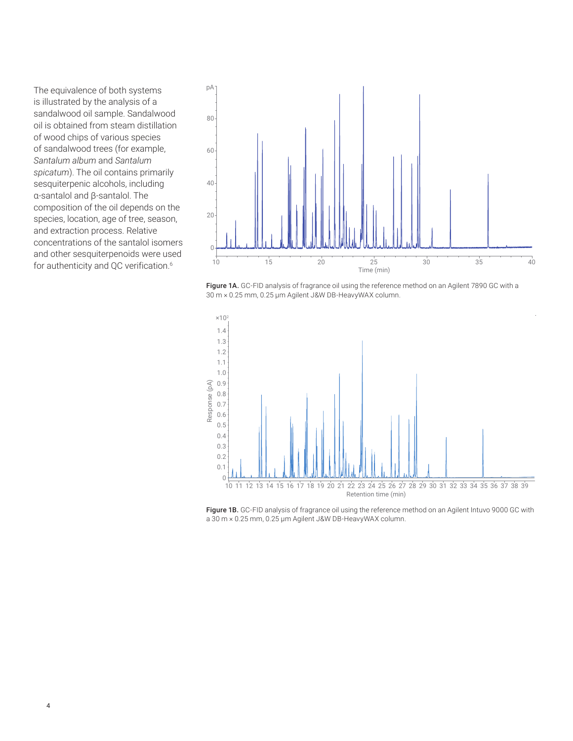The equivalence of both systems is illustrated by the analysis of a sandalwood oil sample. Sandalwood oil is obtained from steam distillation of wood chips of various species of sandalwood trees (for example, *Santalum album* and *Santalum spicatum*). The oil contains primarily sesquiterpenic alcohols, including α-santalol and β-santalol. The composition of the oil depends on the species, location, age of tree, season, and extraction process. Relative concentrations of the santalol isomers and other sesquiterpenoids were used for authenticity and QC verification.<sup>6</sup>



Figure 1A. GC-FID analysis of fragrance oil using the reference method on an Agilent 7890 GC with a 30 m × 0.25 mm, 0.25 µm Agilent J&W DB-HeavyWAX column.



Figure 1B. GC-FID analysis of fragrance oil using the reference method on an Agilent Intuvo 9000 GC with a 30 m × 0.25 mm, 0.25 µm Agilent J&W DB-HeavyWAX column.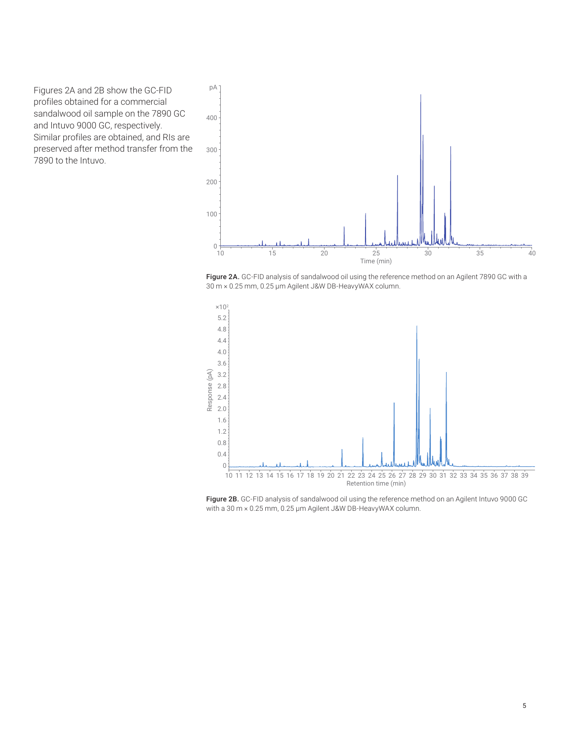Figures 2A and 2B show the GC-FID profiles obtained for a commercial sandalwood oil sample on the 7890 GC and Intuvo 9000 GC, respectively. Similar profiles are obtained, and RIs are preserved after method transfer from the 7890 to the Intuvo.



Figure 2A. GC-FID analysis of sandalwood oil using the reference method on an Agilent 7890 GC with a 30 m × 0.25 mm, 0.25 µm Agilent J&W DB-HeavyWAX column.



Figure 2B. GC-FID analysis of sandalwood oil using the reference method on an Agilent Intuvo 9000 GC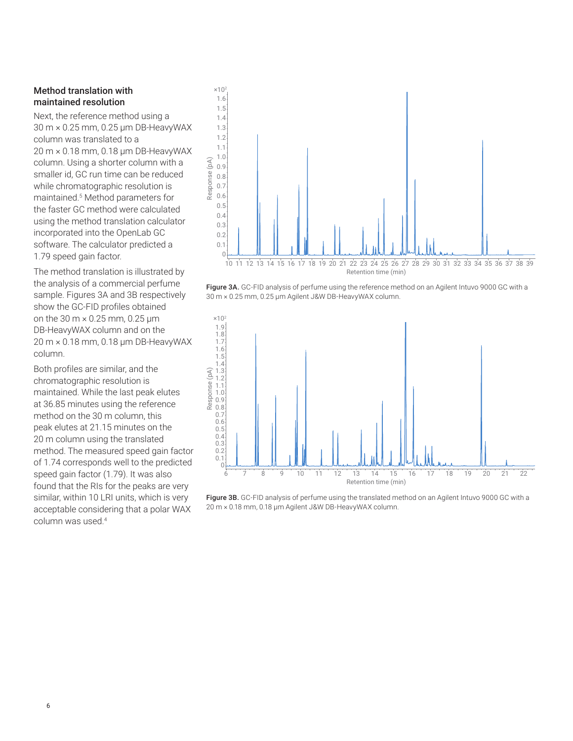#### Method translation with maintained resolution

Next, the reference method using a 30 m × 0.25 mm, 0.25 µm DB‑HeavyWAX column was translated to a 20 m × 0.18 mm, 0.18 µm DB‑HeavyWAX column. Using a shorter column with a smaller id, GC run time can be reduced while chromatographic resolution is maintained.5 Method parameters for the faster GC method were calculated using the method translation calculator incorporated into the OpenLab GC software. The calculator predicted a 1.79 speed gain factor.

The method translation is illustrated by the analysis of a commercial perfume sample. Figures 3A and 3B respectively show the GC-FID profiles obtained on the 30 m × 0.25 mm, 0.25 μm DB-HeavyWAX column and on the 20 m × 0.18 mm, 0.18 μm DB-HeavyWAX column.

Both profiles are similar, and the chromatographic resolution is maintained. While the last peak elutes at 36.85 minutes using the reference method on the 30 m column, this peak elutes at 21.15 minutes on the 20 m column using the translated method. The measured speed gain factor of 1.74 corresponds well to the predicted speed gain factor (1.79). It was also found that the RIs for the peaks are very similar, within 10 LRI units, which is very acceptable considering that a polar WAX column was used.<sup>4</sup>



Figure 3A. GC-FID analysis of perfume using the reference method on an Agilent Intuvo 9000 GC with a 30 m × 0.25 mm, 0.25 µm Agilent J&W DB-HeavyWAX column.



Figure 3B. GC-FID analysis of perfume using the translated method on an Agilent Intuvo 9000 GC with a 20 m × 0.18 mm, 0.18 µm Agilent J&W DB-HeavyWAX column.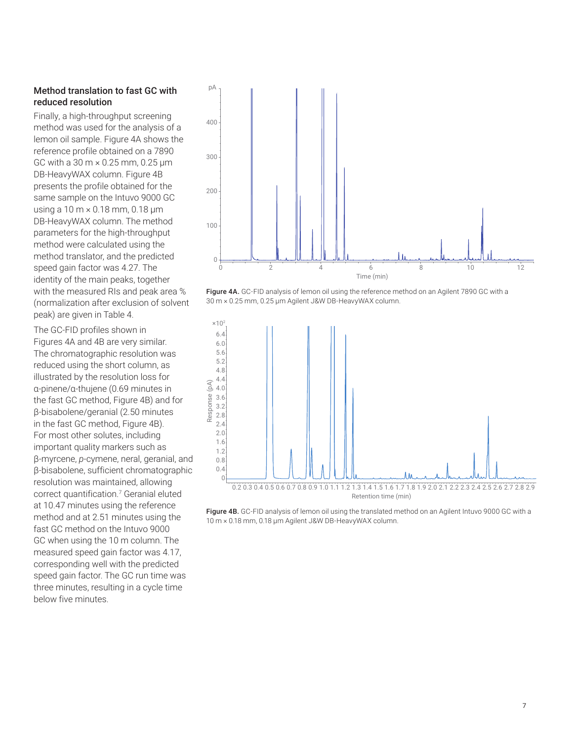### Method translation to fast GC with reduced resolution

Finally, a high-throughput screening method was used for the analysis of a lemon oil sample. Figure 4A shows the reference profile obtained on a 7890 GC with a 30 m × 0.25 mm, 0.25 μm DB‑HeavyWAX column. Figure 4B presents the profile obtained for the same sample on the Intuvo 9000 GC using a 10 m × 0.18 mm, 0.18 μm DB-HeavyWAX column. The method parameters for the high-throughput method were calculated using the method translator, and the predicted speed gain factor was 4.27. The identity of the main peaks, together with the measured RIs and peak area % (normalization after exclusion of solvent peak) are given in Table 4.

The GC-FID profiles shown in Figures 4A and 4B are very similar. The chromatographic resolution was reduced using the short column, as illustrated by the resolution loss for α-pinene/α‑thujene (0.69 minutes in the fast GC method, Figure 4B) and for β-bisabolene/geranial (2.50 minutes in the fast GC method, Figure 4B). For most other solutes, including important quality markers such as β-myrcene, *p*-cymene, neral, geranial, and β-bisabolene, sufficient chromatographic resolution was maintained, allowing correct quantification.<sup>7</sup> Geranial eluted at 10.47 minutes using the reference method and at 2.51 minutes using the fast GC method on the Intuvo 9000 GC when using the 10 m column. The measured speed gain factor was 4.17, corresponding well with the predicted speed gain factor. The GC run time was three minutes, resulting in a cycle time below five minutes.



Figure 4A. GC-FID analysis of lemon oil using the reference method on an Agilent 7890 GC with a 30 m × 0.25 mm, 0.25 µm Agilent J&W DB-HeavyWAX column.



Figure 4B. GC-FID analysis of lemon oil using the translated method on an Agilent Intuvo 9000 GC with a